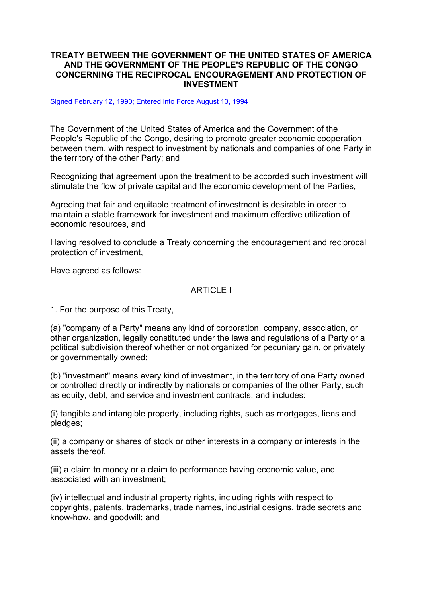### **TREATY BETWEEN THE GOVERNMENT OF THE UNITED STATES OF AMERICA AND THE GOVERNMENT OF THE PEOPLE'S REPUBLIC OF THE CONGO CONCERNING THE RECIPROCAL ENCOURAGEMENT AND PROTECTION OF INVESTMENT**

Signed February 12, 1990; Entered into Force August 13, 1994

The Government of the United States of America and the Government of the People's Republic of the Congo, desiring to promote greater economic cooperation between them, with respect to investment by nationals and companies of one Party in the territory of the other Party; and

Recognizing that agreement upon the treatment to be accorded such investment will stimulate the flow of private capital and the economic development of the Parties,

Agreeing that fair and equitable treatment of investment is desirable in order to maintain a stable framework for investment and maximum effective utilization of economic resources, and

Having resolved to conclude a Treaty concerning the encouragement and reciprocal protection of investment,

Have agreed as follows:

## ARTICLE I

1. For the purpose of this Treaty,

(a) "company of a Party" means any kind of corporation, company, association, or other organization, legally constituted under the laws and regulations of a Party or a political subdivision thereof whether or not organized for pecuniary gain, or privately or governmentally owned;

(b) "investment" means every kind of investment, in the territory of one Party owned or controlled directly or indirectly by nationals or companies of the other Party, such as equity, debt, and service and investment contracts; and includes:

(i) tangible and intangible property, including rights, such as mortgages, liens and pledges;

(ii) a company or shares of stock or other interests in a company or interests in the assets thereof,

(iii) a claim to money or a claim to performance having economic value, and associated with an investment;

(iv) intellectual and industrial property rights, including rights with respect to copyrights, patents, trademarks, trade names, industrial designs, trade secrets and know-how, and goodwill; and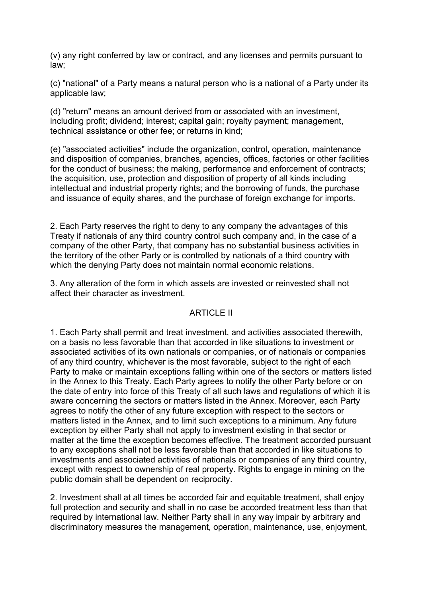(v) any right conferred by law or contract, and any licenses and permits pursuant to law;

(c) "national" of a Party means a natural person who is a national of a Party under its applicable law;

(d) "return" means an amount derived from or associated with an investment, including profit; dividend; interest; capital gain; royalty payment; management, technical assistance or other fee; or returns in kind;

(e) "associated activities" include the organization, control, operation, maintenance and disposition of companies, branches, agencies, offices, factories or other facilities for the conduct of business; the making, performance and enforcement of contracts; the acquisition, use, protection and disposition of property of all kinds including intellectual and industrial property rights; and the borrowing of funds, the purchase and issuance of equity shares, and the purchase of foreign exchange for imports.

2. Each Party reserves the right to deny to any company the advantages of this Treaty if nationals of any third country control such company and, in the case of a company of the other Party, that company has no substantial business activities in the territory of the other Party or is controlled by nationals of a third country with which the denying Party does not maintain normal economic relations.

3. Any alteration of the form in which assets are invested or reinvested shall not affect their character as investment.

### ARTICLE II

1. Each Party shall permit and treat investment, and activities associated therewith, on a basis no less favorable than that accorded in like situations to investment or associated activities of its own nationals or companies, or of nationals or companies of any third country, whichever is the most favorable, subject to the right of each Party to make or maintain exceptions falling within one of the sectors or matters listed in the Annex to this Treaty. Each Party agrees to notify the other Party before or on the date of entry into force of this Treaty of all such laws and regulations of which it is aware concerning the sectors or matters listed in the Annex. Moreover, each Party agrees to notify the other of any future exception with respect to the sectors or matters listed in the Annex, and to limit such exceptions to a minimum. Any future exception by either Party shall not apply to investment existing in that sector or matter at the time the exception becomes effective. The treatment accorded pursuant to any exceptions shall not be less favorable than that accorded in like situations to investments and associated activities of nationals or companies of any third country, except with respect to ownership of real property. Rights to engage in mining on the public domain shall be dependent on reciprocity.

2. Investment shall at all times be accorded fair and equitable treatment, shall enjoy full protection and security and shall in no case be accorded treatment less than that required by international law. Neither Party shall in any way impair by arbitrary and discriminatory measures the management, operation, maintenance, use, enjoyment,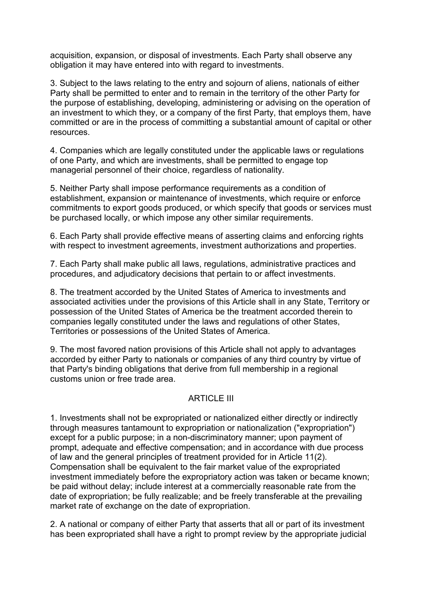acquisition, expansion, or disposal of investments. Each Party shall observe any obligation it may have entered into with regard to investments.

3. Subject to the laws relating to the entry and sojourn of aliens, nationals of either Party shall be permitted to enter and to remain in the territory of the other Party for the purpose of establishing, developing, administering or advising on the operation of an investment to which they, or a company of the first Party, that employs them, have committed or are in the process of committing a substantial amount of capital or other resources.

4. Companies which are legally constituted under the applicable laws or regulations of one Party, and which are investments, shall be permitted to engage top managerial personnel of their choice, regardless of nationality.

5. Neither Party shall impose performance requirements as a condition of establishment, expansion or maintenance of investments, which require or enforce commitments to export goods produced, or which specify that goods or services must be purchased locally, or which impose any other similar requirements.

6. Each Party shall provide effective means of asserting claims and enforcing rights with respect to investment agreements, investment authorizations and properties.

7. Each Party shall make public all laws, regulations, administrative practices and procedures, and adjudicatory decisions that pertain to or affect investments.

8. The treatment accorded by the United States of America to investments and associated activities under the provisions of this Article shall in any State, Territory or possession of the United States of America be the treatment accorded therein to companies legally constituted under the laws and regulations of other States, Territories or possessions of the United States of America.

9. The most favored nation provisions of this Article shall not apply to advantages accorded by either Party to nationals or companies of any third country by virtue of that Party's binding obligations that derive from full membership in a regional customs union or free trade area.

### **ARTICLE III**

1. Investments shall not be expropriated or nationalized either directly or indirectly through measures tantamount to expropriation or nationalization ("expropriation") except for a public purpose; in a non-discriminatory manner; upon payment of prompt, adequate and effective compensation; and in accordance with due process of law and the general principles of treatment provided for in Article 11(2). Compensation shall be equivalent to the fair market value of the expropriated investment immediately before the expropriatory action was taken or became known; be paid without delay; include interest at a commercially reasonable rate from the date of expropriation; be fully realizable; and be freely transferable at the prevailing market rate of exchange on the date of expropriation.

2. A national or company of either Party that asserts that all or part of its investment has been expropriated shall have a right to prompt review by the appropriate judicial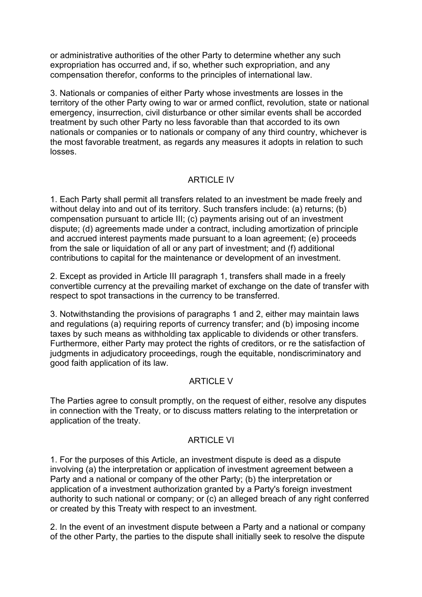or administrative authorities of the other Party to determine whether any such expropriation has occurred and, if so, whether such expropriation, and any compensation therefor, conforms to the principles of international law.

3. Nationals or companies of either Party whose investments are losses in the territory of the other Party owing to war or armed conflict, revolution, state or national emergency, insurrection, civil disturbance or other similar events shall be accorded treatment by such other Party no less favorable than that accorded to its own nationals or companies or to nationals or company of any third country, whichever is the most favorable treatment, as regards any measures it adopts in relation to such losses.

# ARTICLE IV

1. Each Party shall permit all transfers related to an investment be made freely and without delay into and out of its territory. Such transfers include: (a) returns; (b) compensation pursuant to article III; (c) payments arising out of an investment dispute; (d) agreements made under a contract, including amortization of principle and accrued interest payments made pursuant to a loan agreement; (e) proceeds from the sale or liquidation of all or any part of investment; and (f) additional contributions to capital for the maintenance or development of an investment.

2. Except as provided in Article III paragraph 1, transfers shall made in a freely convertible currency at the prevailing market of exchange on the date of transfer with respect to spot transactions in the currency to be transferred.

3. Notwithstanding the provisions of paragraphs 1 and 2, either may maintain laws and regulations (a) requiring reports of currency transfer; and (b) imposing income taxes by such means as withholding tax applicable to dividends or other transfers. Furthermore, either Party may protect the rights of creditors, or re the satisfaction of judgments in adjudicatory proceedings, rough the equitable, nondiscriminatory and good faith application of its law.

# ARTICLE V

The Parties agree to consult promptly, on the request of either, resolve any disputes in connection with the Treaty, or to discuss matters relating to the interpretation or application of the treaty.

# **ARTICLE VI**

1. For the purposes of this Article, an investment dispute is deed as a dispute involving (a) the interpretation or application of investment agreement between a Party and a national or company of the other Party; (b) the interpretation or application of a investment authorization granted by a Party's foreign investment authority to such national or company; or (c) an alleged breach of any right conferred or created by this Treaty with respect to an investment.

2. In the event of an investment dispute between a Party and a national or company of the other Party, the parties to the dispute shall initially seek to resolve the dispute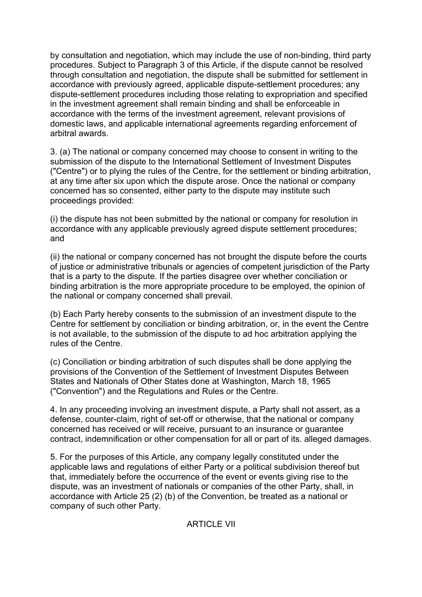by consultation and negotiation, which may include the use of non-binding, third party procedures. Subject to Paragraph 3 of this Article, if the dispute cannot be resolved through consultation and negotiation, the dispute shall be submitted for settlement in accordance with previously agreed, applicable dispute-settlement procedures; any dispute-settlement procedures including those relating to expropriation and specified in the investment agreement shall remain binding and shall be enforceable in accordance with the terms of the investment agreement, relevant provisions of domestic laws, and applicable international agreements regarding enforcement of arbitral awards.

3. (a) The national or company concerned may choose to consent in writing to the submission of the dispute to the International Settlement of Investment Disputes ("Centre") or to plying the rules of the Centre, for the settlement or binding arbitration, at any time after six upon which the dispute arose. Once the national or company concerned has so consented, either party to the dispute may institute such proceedings provided:

(i) the dispute has not been submitted by the national or company for resolution in accordance with any applicable previously agreed dispute settlement procedures; and

(ii) the national or company concerned has not brought the dispute before the courts of justice or administrative tribunals or agencies of competent jurisdiction of the Party that is a party to the dispute. If the parties disagree over whether conciliation or binding arbitration is the more appropriate procedure to be employed, the opinion of the national or company concerned shall prevail.

(b) Each Party hereby consents to the submission of an investment dispute to the Centre for settlement by conciliation or binding arbitration, or, in the event the Centre is not available, to the submission of the dispute to ad hoc arbitration applying the rules of the Centre.

(c) Conciliation or binding arbitration of such disputes shall be done applying the provisions of the Convention of the Settlement of Investment Disputes Between States and Nationals of Other States done at Washington, March 18, 1965 ("Convention") and the Regulations and Rules or the Centre.

4. In any proceeding involving an investment dispute, a Party shall not assert, as a defense, counter-claim, right of set-off or otherwise, that the national or company concerned has received or will receive, pursuant to an insurance or guarantee contract, indemnification or other compensation for all or part of its. alleged damages.

5. For the purposes of this Article, any company legally constituted under the applicable laws and regulations of either Party or a political subdivision thereof but that, immediately before the occurrence of the event or events giving rise to the dispute, was an investment of nationals or companies of the other Party, shall, in accordance with Article 25 (2) (b) of the Convention, be treated as a national or company of such other Party.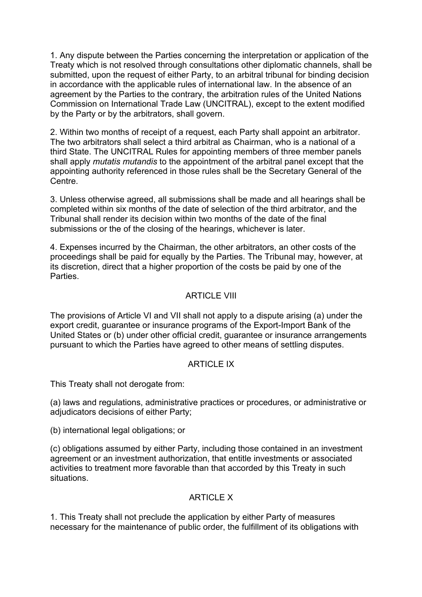1. Any dispute between the Parties concerning the interpretation or application of the Treaty which is not resolved through consultations other diplomatic channels, shall be submitted, upon the request of either Party, to an arbitral tribunal for binding decision in accordance with the applicable rules of international law. In the absence of an agreement by the Parties to the contrary, the arbitration rules of the United Nations Commission on International Trade Law (UNCITRAL), except to the extent modified by the Party or by the arbitrators, shall govern.

2. Within two months of receipt of a request, each Party shall appoint an arbitrator. The two arbitrators shall select a third arbitral as Chairman, who is a national of a third State. The UNCITRAL Rules for appointing members of three member panels shall apply *mutatis mutandis* to the appointment of the arbitral panel except that the appointing authority referenced in those rules shall be the Secretary General of the Centre.

3. Unless otherwise agreed, all submissions shall be made and all hearings shall be completed within six months of the date of selection of the third arbitrator, and the Tribunal shall render its decision within two months of the date of the final submissions or the of the closing of the hearings, whichever is later.

4. Expenses incurred by the Chairman, the other arbitrators, an other costs of the proceedings shall be paid for equally by the Parties. The Tribunal may, however, at its discretion, direct that a higher proportion of the costs be paid by one of the Parties.

# **ARTICLE VIII**

The provisions of Article VI and VII shall not apply to a dispute arising (a) under the export credit, guarantee or insurance programs of the Export-Import Bank of the United States or (b) under other official credit, guarantee or insurance arrangements pursuant to which the Parties have agreed to other means of settling disputes.

# **ARTICLE IX**

This Treaty shall not derogate from:

(a) laws and regulations, administrative practices or procedures, or administrative or adjudicators decisions of either Party;

(b) international legal obligations; or

(c) obligations assumed by either Party, including those contained in an investment agreement or an investment authorization, that entitle investments or associated activities to treatment more favorable than that accorded by this Treaty in such situations.

### ARTICLE X

1. This Treaty shall not preclude the application by either Party of measures necessary for the maintenance of public order, the fulfillment of its obligations with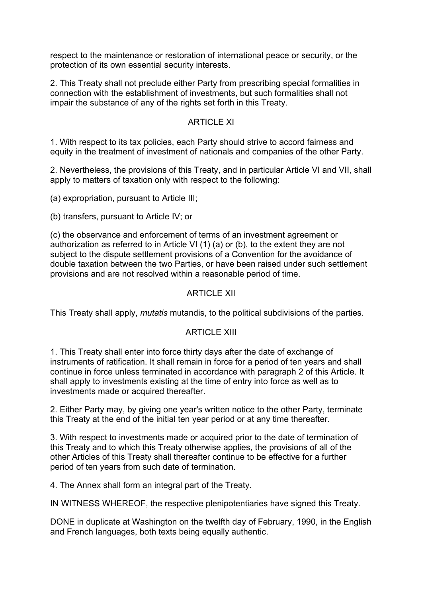respect to the maintenance or restoration of international peace or security, or the protection of its own essential security interests.

2. This Treaty shall not preclude either Party from prescribing special formalities in connection with the establishment of investments, but such formalities shall not impair the substance of any of the rights set forth in this Treaty.

## ARTICLE XI

1. With respect to its tax policies, each Party should strive to accord fairness and equity in the treatment of investment of nationals and companies of the other Party.

2. Nevertheless, the provisions of this Treaty, and in particular Article VI and VII, shall apply to matters of taxation only with respect to the following:

(a) expropriation, pursuant to Article III;

(b) transfers, pursuant to Article IV; or

(c) the observance and enforcement of terms of an investment agreement or authorization as referred to in Article VI (1) (a) or (b), to the extent they are not subject to the dispute settlement provisions of a Convention for the avoidance of double taxation between the two Parties, or have been raised under such settlement provisions and are not resolved within a reasonable period of time.

## **ARTICLE XII**

This Treaty shall apply, *mutatis* mutandis, to the political subdivisions of the parties.

# **ARTICLE XIII**

1. This Treaty shall enter into force thirty days after the date of exchange of instruments of ratification. It shall remain in force for a period of ten years and shall continue in force unless terminated in accordance with paragraph 2 of this Article. It shall apply to investments existing at the time of entry into force as well as to investments made or acquired thereafter.

2. Either Party may, by giving one year's written notice to the other Party, terminate this Treaty at the end of the initial ten year period or at any time thereafter.

3. With respect to investments made or acquired prior to the date of termination of this Treaty and to which this Treaty otherwise applies, the provisions of all of the other Articles of this Treaty shall thereafter continue to be effective for a further period of ten years from such date of termination.

4. The Annex shall form an integral part of the Treaty.

IN WITNESS WHEREOF, the respective plenipotentiaries have signed this Treaty.

DONE in duplicate at Washington on the twelfth day of February, 1990, in the English and French languages, both texts being equally authentic.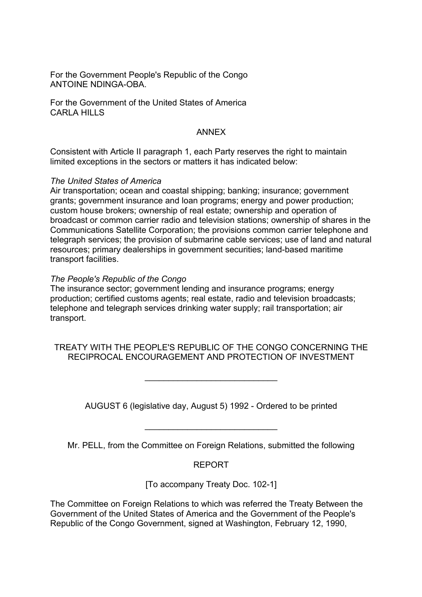For the Government People's Republic of the Congo ANTOINE NDINGA-OBA.

For the Government of the United States of America CARLA HILLS

#### ANNEX

Consistent with Article II paragraph 1, each Party reserves the right to maintain limited exceptions in the sectors or matters it has indicated below:

#### *The United States of America*

Air transportation; ocean and coastal shipping; banking; insurance; government grants; government insurance and loan programs; energy and power production; custom house brokers; ownership of real estate; ownership and operation of broadcast or common carrier radio and television stations; ownership of shares in the Communications Satellite Corporation; the provisions common carrier telephone and telegraph services; the provision of submarine cable services; use of land and natural resources; primary dealerships in government securities; land-based maritime transport facilities.

#### *The People's Republic of the Congo*

The insurance sector; government lending and insurance programs; energy production; certified customs agents; real estate, radio and television broadcasts; telephone and telegraph services drinking water supply; rail transportation; air transport.

TREATY WITH THE PEOPLE'S REPUBLIC OF THE CONGO CONCERNING THE RECIPROCAL ENCOURAGEMENT AND PROTECTION OF INVESTMENT

 $\_$ 

AUGUST 6 (legislative day, August 5) 1992 - Ordered to be printed

 $\_$ 

Mr. PELL, from the Committee on Foreign Relations, submitted the following

### REPORT

[To accompany Treaty Doc. 102-1]

The Committee on Foreign Relations to which was referred the Treaty Between the Government of the United States of America and the Government of the People's Republic of the Congo Government, signed at Washington, February 12, 1990,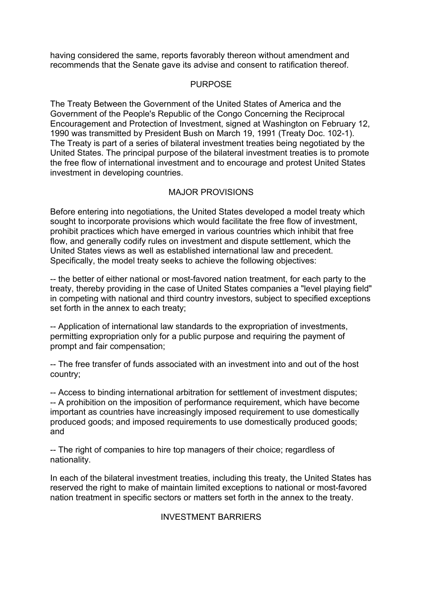having considered the same, reports favorably thereon without amendment and recommends that the Senate gave its advise and consent to ratification thereof.

## PURPOSE

The Treaty Between the Government of the United States of America and the Government of the People's Republic of the Congo Concerning the Reciprocal Encouragement and Protection of Investment, signed at Washington on February 12, 1990 was transmitted by President Bush on March 19, 1991 (Treaty Doc. 102-1). The Treaty is part of a series of bilateral investment treaties being negotiated by the United States. The principal purpose of the bilateral investment treaties is to promote the free flow of international investment and to encourage and protest United States investment in developing countries.

## MAJOR PROVISIONS

Before entering into negotiations, the United States developed a model treaty which sought to incorporate provisions which would facilitate the free flow of investment, prohibit practices which have emerged in various countries which inhibit that free flow, and generally codify rules on investment and dispute settlement, which the United States views as well as established international law and precedent. Specifically, the model treaty seeks to achieve the following objectives:

-- the better of either national or most-favored nation treatment, for each party to the treaty, thereby providing in the case of United States companies a "level playing field" in competing with national and third country investors, subject to specified exceptions set forth in the annex to each treaty;

-- Application of international law standards to the expropriation of investments, permitting expropriation only for a public purpose and requiring the payment of prompt and fair compensation;

-- The free transfer of funds associated with an investment into and out of the host country;

-- Access to binding international arbitration for settlement of investment disputes; -- A prohibition on the imposition of performance requirement, which have become important as countries have increasingly imposed requirement to use domestically produced goods; and imposed requirements to use domestically produced goods; and

-- The right of companies to hire top managers of their choice; regardless of nationality.

In each of the bilateral investment treaties, including this treaty, the United States has reserved the right to make of maintain limited exceptions to national or most-favored nation treatment in specific sectors or matters set forth in the annex to the treaty.

# INVESTMENT BARRIERS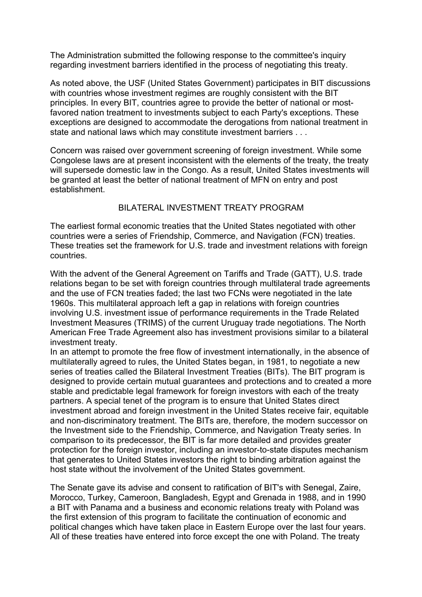The Administration submitted the following response to the committee's inquiry regarding investment barriers identified in the process of negotiating this treaty.

As noted above, the USF (United States Government) participates in BIT discussions with countries whose investment regimes are roughly consistent with the BIT principles. In every BIT, countries agree to provide the better of national or mostfavored nation treatment to investments subject to each Party's exceptions. These exceptions are designed to accommodate the derogations from national treatment in state and national laws which may constitute investment barriers . . .

Concern was raised over government screening of foreign investment. While some Congolese laws are at present inconsistent with the elements of the treaty, the treaty will supersede domestic law in the Congo. As a result, United States investments will be granted at least the better of national treatment of MFN on entry and post establishment.

## BILATERAL INVESTMENT TREATY PROGRAM

The earliest formal economic treaties that the United States negotiated with other countries were a series of Friendship, Commerce, and Navigation (FCN) treaties. These treaties set the framework for U.S. trade and investment relations with foreign countries.

With the advent of the General Agreement on Tariffs and Trade (GATT), U.S. trade relations began to be set with foreign countries through multilateral trade agreements and the use of FCN treaties faded; the last two FCNs were negotiated in the late 1960s. This multilateral approach left a gap in relations with foreign countries involving U.S. investment issue of performance requirements in the Trade Related Investment Measures (TRIMS) of the current Uruguay trade negotiations. The North American Free Trade Agreement also has investment provisions similar to a bilateral investment treaty.

In an attempt to promote the free flow of investment internationally, in the absence of multilaterally agreed to rules, the United States began, in 1981, to negotiate a new series of treaties called the Bilateral Investment Treaties (BITs). The BIT program is designed to provide certain mutual guarantees and protections and to created a more stable and predictable legal framework for foreign investors with each of the treaty partners. A special tenet of the program is to ensure that United States direct investment abroad and foreign investment in the United States receive fair, equitable and non-discriminatory treatment. The BITs are, therefore, the modern successor on the Investment side to the Friendship, Commerce, and Navigation Treaty series. In comparison to its predecessor, the BIT is far more detailed and provides greater protection for the foreign investor, including an investor-to-state disputes mechanism that generates to United States investors the right to binding arbitration against the host state without the involvement of the United States government.

The Senate gave its advise and consent to ratification of BIT's with Senegal, Zaire, Morocco, Turkey, Cameroon, Bangladesh, Egypt and Grenada in 1988, and in 1990 a BIT with Panama and a business and economic relations treaty with Poland was the first extension of this program to facilitate the continuation of economic and political changes which have taken place in Eastern Europe over the last four years. All of these treaties have entered into force except the one with Poland. The treaty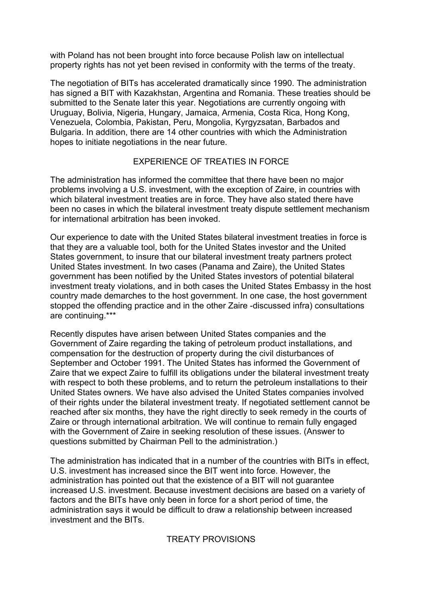with Poland has not been brought into force because Polish law on intellectual property rights has not yet been revised in conformity with the terms of the treaty.

The negotiation of BITs has accelerated dramatically since 1990. The administration has signed a BIT with Kazakhstan, Argentina and Romania. These treaties should be submitted to the Senate later this year. Negotiations are currently ongoing with Uruguay, Bolivia, Nigeria, Hungary, Jamaica, Armenia, Costa Rica, Hong Kong, Venezuela, Colombia, Pakistan, Peru, Mongolia, Kyrgyzsatan, Barbados and Bulgaria. In addition, there are 14 other countries with which the Administration hopes to initiate negotiations in the near future.

## EXPERIENCE OF TREATIES IN FORCE

The administration has informed the committee that there have been no major problems involving a U.S. investment, with the exception of Zaire, in countries with which bilateral investment treaties are in force. They have also stated there have been no cases in which the bilateral investment treaty dispute settlement mechanism for international arbitration has been invoked.

Our experience to date with the United States bilateral investment treaties in force is that they are a valuable tool, both for the United States investor and the United States government, to insure that our bilateral investment treaty partners protect United States investment. In two cases (Panama and Zaire), the United States government has been notified by the United States investors of potential bilateral investment treaty violations, and in both cases the United States Embassy in the host country made demarches to the host government. In one case, the host government stopped the offending practice and in the other Zaire -discussed infra) consultations are continuing.\*\*\*

Recently disputes have arisen between United States companies and the Government of Zaire regarding the taking of petroleum product installations, and compensation for the destruction of property during the civil disturbances of September and October 1991. The United States has informed the Government of Zaire that we expect Zaire to fulfill its obligations under the bilateral investment treaty with respect to both these problems, and to return the petroleum installations to their United States owners. We have also advised the United States companies involved of their rights under the bilateral investment treaty. If negotiated settlement cannot be reached after six months, they have the right directly to seek remedy in the courts of Zaire or through international arbitration. We will continue to remain fully engaged with the Government of Zaire in seeking resolution of these issues. (Answer to questions submitted by Chairman Pell to the administration.)

The administration has indicated that in a number of the countries with BITs in effect, U.S. investment has increased since the BIT went into force. However, the administration has pointed out that the existence of a BIT will not guarantee increased U.S. investment. Because investment decisions are based on a variety of factors and the BITs have only been in force for a short period of time, the administration says it would be difficult to draw a relationship between increased investment and the BITs.

# TREATY PROVISIONS